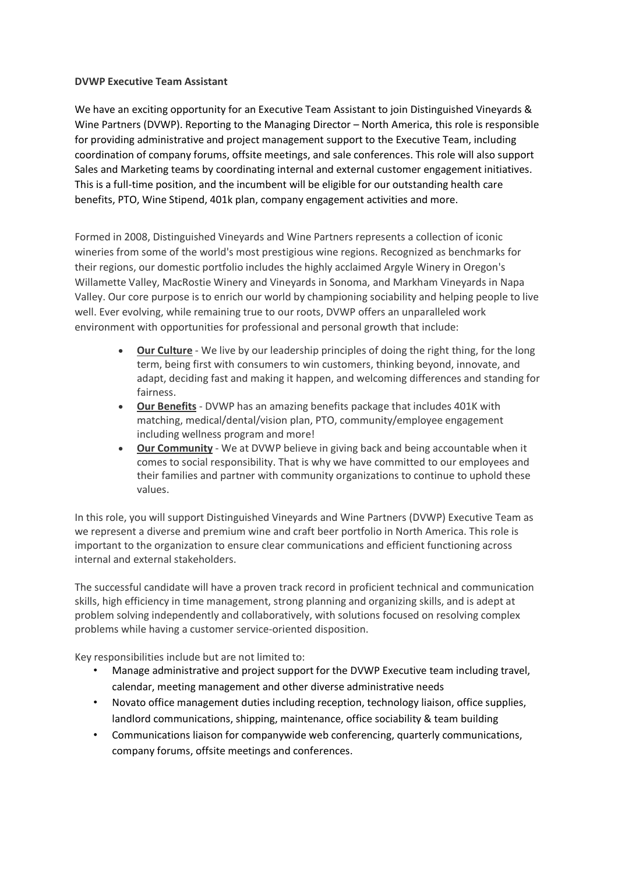## **DVWP Executive Team Assistant**

We have an exciting opportunity for an Executive Team Assistant to join Distinguished Vineyards & Wine Partners (DVWP). Reporting to the Managing Director – North America, this role is responsible for providing administrative and project management support to the Executive Team, including coordination of company forums, offsite meetings, and sale conferences. This role will also support Sales and Marketing teams by coordinating internal and external customer engagement initiatives. This is a full-time position, and the incumbent will be eligible for our outstanding health care benefits, PTO, Wine Stipend, 401k plan, company engagement activities and more.

Formed in 2008, Distinguished Vineyards and Wine Partners represents a collection of iconic wineries from some of the world's most prestigious wine regions. Recognized as benchmarks for their regions, our domestic portfolio includes the highly acclaimed Argyle Winery in Oregon's Willamette Valley, MacRostie Winery and Vineyards in Sonoma, and Markham Vineyards in Napa Valley. Our core purpose is to enrich our world by championing sociability and helping people to live well. Ever evolving, while remaining true to our roots, DVWP offers an unparalleled work environment with opportunities for professional and personal growth that include:

- **Our Culture** We live by our leadership principles of doing the right thing, for the long term, being first with consumers to win customers, thinking beyond, innovate, and adapt, deciding fast and making it happen, and welcoming differences and standing for fairness.
- **Our Benefits** DVWP has an amazing benefits package that includes 401K with matching, medical/dental/vision plan, PTO, community/employee engagement including wellness program and more!
- **Our Community** We at DVWP believe in giving back and being accountable when it comes to social responsibility. That is why we have committed to our employees and their families and partner with community organizations to continue to uphold these values.

In this role, you will support Distinguished Vineyards and Wine Partners (DVWP) Executive Team as we represent a diverse and premium wine and craft beer portfolio in North America. This role is important to the organization to ensure clear communications and efficient functioning across internal and external stakeholders.

The successful candidate will have a proven track record in proficient technical and communication skills, high efficiency in time management, strong planning and organizing skills, and is adept at problem solving independently and collaboratively, with solutions focused on resolving complex problems while having a customer service-oriented disposition.

Key responsibilities include but are not limited to:

- Manage administrative and project support for the DVWP Executive team including travel, calendar, meeting management and other diverse administrative needs
- Novato office management duties including reception, technology liaison, office supplies, landlord communications, shipping, maintenance, office sociability & team building
- Communications liaison for companywide web conferencing, quarterly communications, company forums, offsite meetings and conferences.